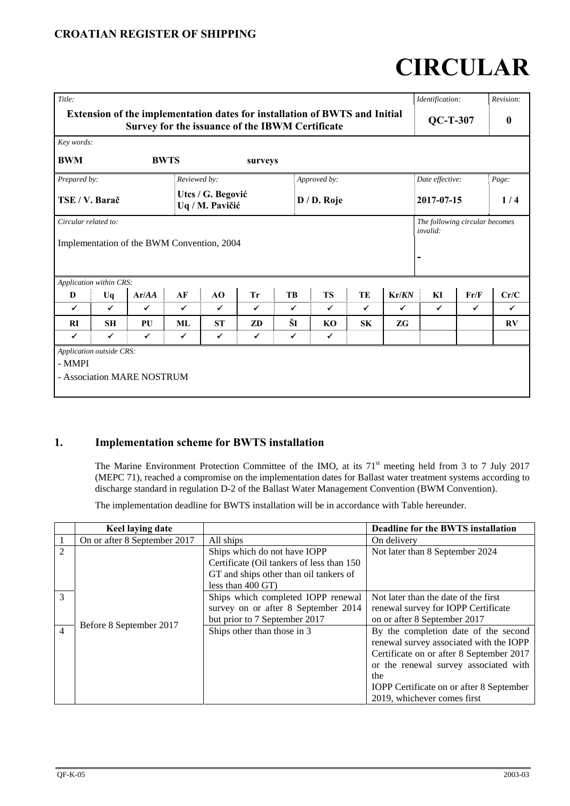# **CIRCULAR**

| Title:                                                                                                                        |                                                                       |                            |              |              |                 |              |                  |              |              | Identification:                |      | Revision: |
|-------------------------------------------------------------------------------------------------------------------------------|-----------------------------------------------------------------------|----------------------------|--------------|--------------|-----------------|--------------|------------------|--------------|--------------|--------------------------------|------|-----------|
| Extension of the implementation dates for installation of BWTS and Initial<br>Survey for the issuance of the IBWM Certificate |                                                                       |                            |              |              | <b>QC-T-307</b> |              | $\boldsymbol{0}$ |              |              |                                |      |           |
| Key words:                                                                                                                    |                                                                       |                            |              |              |                 |              |                  |              |              |                                |      |           |
| <b>BWM</b>                                                                                                                    |                                                                       | <b>BWTS</b>                |              |              | surveys         |              |                  |              |              |                                |      |           |
| Prepared by:                                                                                                                  | Reviewed by:<br>Approved by:                                          |                            |              |              | Date effective: |              | Page:            |              |              |                                |      |           |
|                                                                                                                               | Utcs / G. Begović<br>TSE / V. Barač<br>D / D. Roje<br>Uq / M. Pavičić |                            |              |              | 2017-07-15      |              | 1/4              |              |              |                                |      |           |
| Circular related to:                                                                                                          |                                                                       |                            |              |              |                 |              |                  |              |              | The following circular becomes |      |           |
|                                                                                                                               | invalid:<br>Implementation of the BWM Convention, 2004                |                            |              |              |                 |              |                  |              |              |                                |      |           |
|                                                                                                                               | Application within CRS:                                               |                            |              |              |                 |              |                  |              |              |                                |      |           |
| D                                                                                                                             | Uq                                                                    | Ar/AA                      | AF           | AO           | <b>Tr</b>       | TB           | <b>TS</b>        | TE           | Kr/KN        | KI                             | Fr/F | Cr/C      |
| $\checkmark$                                                                                                                  | $\checkmark$                                                          | ✓                          | $\checkmark$ | ✓            | $\checkmark$    | $\checkmark$ | $\checkmark$     | $\checkmark$ | $\checkmark$ | $\checkmark$                   | ✓    | ✓         |
| RI                                                                                                                            | <b>SH</b>                                                             | PU                         | ML           | <b>ST</b>    | ZD              | ŠI           | KO               | <b>SK</b>    | ZG           |                                |      | RV        |
| $\checkmark$                                                                                                                  | $\checkmark$                                                          | $\checkmark$               | ✓            | $\checkmark$ | $\checkmark$    | $\checkmark$ | $\checkmark$     |              |              |                                |      |           |
| - MMPI                                                                                                                        | <b>Application outside CRS:</b>                                       | - Association MARE NOSTRUM |              |              |                 |              |                  |              |              |                                |      |           |

# **1. Implementation scheme for BWTS installation**

The Marine Environment Protection Committee of the IMO, at its 71<sup>st</sup> meeting held from 3 to 7 July 2017 (MEPC 71), reached a compromise on the implementation dates for Ballast water treatment systems according to discharge standard in regulation D-2 of the Ballast Water Management Convention (BWM Convention).

The implementation deadline for BWTS installation will be in accordance with Table hereunder.

|                | Keel laying date             |                                                                                                                                                      | Deadline for the BWTS installation                                                                                                                                                                                                                     |
|----------------|------------------------------|------------------------------------------------------------------------------------------------------------------------------------------------------|--------------------------------------------------------------------------------------------------------------------------------------------------------------------------------------------------------------------------------------------------------|
|                | On or after 8 September 2017 | All ships                                                                                                                                            | On delivery                                                                                                                                                                                                                                            |
| $\overline{2}$ |                              | Ships which do not have IOPP<br>Certificate (Oil tankers of less than 150)<br>GT and ships other than oil tankers of<br>less than $400 \text{ GT}$ ) | Not later than 8 September 2024                                                                                                                                                                                                                        |
| 3              |                              | Ships which completed IOPP renewal<br>survey on or after 8 September 2014<br>but prior to 7 September 2017                                           | Not later than the date of the first<br>renewal survey for IOPP Certificate<br>on or after 8 September 2017                                                                                                                                            |
| $\overline{4}$ | Before 8 September 2017      | Ships other than those in 3                                                                                                                          | By the completion date of the second<br>renewal survey associated with the IOPP<br>Certificate on or after 8 September 2017<br>or the renewal survey associated with<br>the<br>IOPP Certificate on or after 8 September<br>2019, whichever comes first |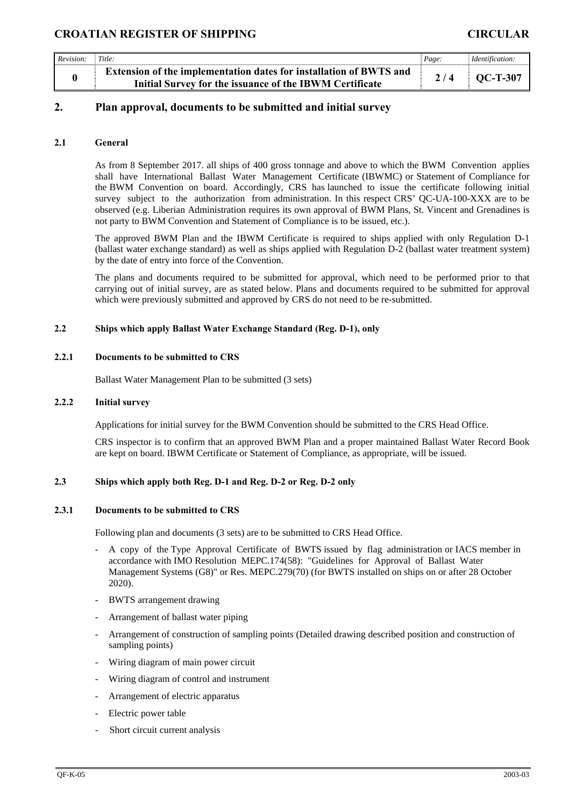# **CROATIAN REGISTER OF SHIPPING CIRCULAR**

| Revision: | Title:                                                             | Page: |                 |  |
|-----------|--------------------------------------------------------------------|-------|-----------------|--|
|           | Extension of the implementation dates for installation of BWTS and |       | <b>OC-T-307</b> |  |
|           | Initial Survey for the issuance of the IBWM Certificate            |       |                 |  |

# **2. Plan approval, documents to be submitted and initial survey**

### **2.1 General**

As from 8 September 2017. all ships of 400 gross tonnage and above to which the BWM Convention applies shall have International Ballast Water Management Certificate (IBWMC) or Statement of Compliance for the BWM Convention on board. Accordingly, CRS has launched to issue the certificate following initial survey subject to the authorization from administration. In this respect CRS' QC-UA-100-XXX are to be observed (e.g. Liberian Administration requires its own approval of BWM Plans, St. Vincent and Grenadines is not party to BWM Convention and Statement of Compliance is to be issued, etc.).

The approved BWM Plan and the IBWM Certificate is required to ships applied with only Regulation D-1 (ballast water exchange standard) as well as ships applied with Regulation D-2 (ballast water treatment system) by the date of entry into force of the Convention.

The plans and documents required to be submitted for approval, which need to be performed prior to that carrying out of initial survey, are as stated below. Plans and documents required to be submitted for approval which were previously submitted and approved by CRS do not need to be re-submitted.

#### **2.2 Ships which apply Ballast Water Exchange Standard (Reg. D-1), only**

#### **2.2.1 Documents to be submitted to CRS**

Ballast Water Management Plan to be submitted (3 sets)

#### **2.2.2 Initial survey**

Applications for initial survey for the BWM Convention should be submitted to the CRS Head Office.

CRS inspector is to confirm that an approved BWM Plan and a proper maintained Ballast Water Record Book are kept on board. IBWM Certificate or Statement of Compliance, as appropriate, will be issued.

## **2.3 Ships which apply both Reg. D-1 and Reg. D-2 or Reg. D-2 only**

#### **2.3.1 Documents to be submitted to CRS**

Following plan and documents (3 sets) are to be submitted to CRS Head Office.

- A copy of the Type Approval Certificate of BWTS issued by flag administration or IACS member in accordance with IMO Resolution MEPC.174(58): "Guidelines for Approval of Ballast Water Management Systems (G8)" or Res. MEPC.279(70) (for BWTS installed on ships on or after 28 October 2020).
- BWTS arrangement drawing
- Arrangement of ballast water piping
- Arrangement of construction of sampling points (Detailed drawing described position and construction of sampling points)
- Wiring diagram of main power circuit
- Wiring diagram of control and instrument
- Arrangement of electric apparatus
- Electric power table
- Short circuit current analysis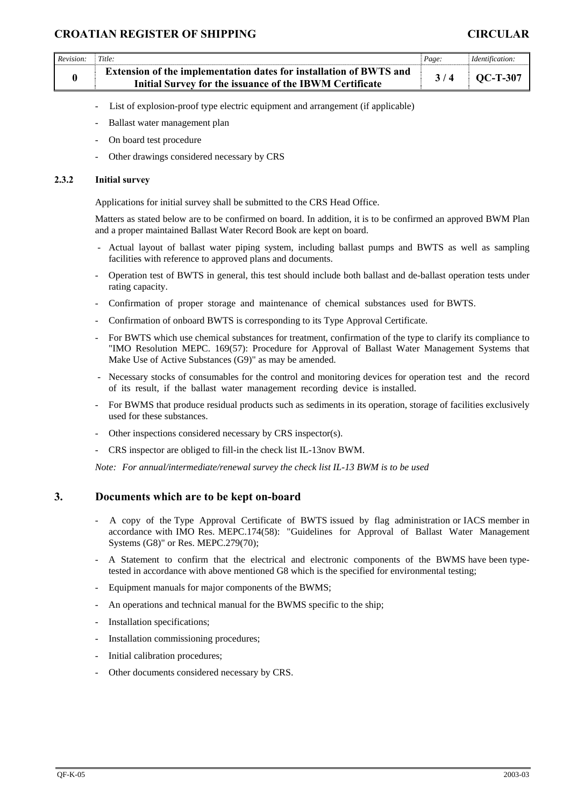| Revision:        | Title:                                                                                                                                                                                                                                | Page:                                                                                                                                                                                                         | Identification: |  |  |  |  |  |
|------------------|---------------------------------------------------------------------------------------------------------------------------------------------------------------------------------------------------------------------------------------|---------------------------------------------------------------------------------------------------------------------------------------------------------------------------------------------------------------|-----------------|--|--|--|--|--|
| $\boldsymbol{0}$ | Extension of the implementation dates for installation of BWTS and<br>Initial Survey for the issuance of the IBWM Certificate                                                                                                         | 3/4                                                                                                                                                                                                           | $QC-T-307$      |  |  |  |  |  |
|                  | List of explosion-proof type electric equipment and arrangement (if applicable)<br>-                                                                                                                                                  |                                                                                                                                                                                                               |                 |  |  |  |  |  |
|                  | Ballast water management plan<br>$\overline{\phantom{0}}$                                                                                                                                                                             |                                                                                                                                                                                                               |                 |  |  |  |  |  |
|                  | On board test procedure<br>$\overline{a}$                                                                                                                                                                                             |                                                                                                                                                                                                               |                 |  |  |  |  |  |
|                  | Other drawings considered necessary by CRS<br>$\overline{\phantom{m}}$                                                                                                                                                                |                                                                                                                                                                                                               |                 |  |  |  |  |  |
| 2.3.2            | <b>Initial survey</b>                                                                                                                                                                                                                 |                                                                                                                                                                                                               |                 |  |  |  |  |  |
|                  | Applications for initial survey shall be submitted to the CRS Head Office.                                                                                                                                                            |                                                                                                                                                                                                               |                 |  |  |  |  |  |
|                  | Matters as stated below are to be confirmed on board. In addition, it is to be confirmed an approved BWM Plan<br>and a proper maintained Ballast Water Record Book are kept on board.                                                 |                                                                                                                                                                                                               |                 |  |  |  |  |  |
|                  | - Actual layout of ballast water piping system, including ballast pumps and BWTS as well as sampling<br>facilities with reference to approved plans and documents.                                                                    |                                                                                                                                                                                                               |                 |  |  |  |  |  |
|                  | Operation test of BWTS in general, this test should include both ballast and de-ballast operation tests under<br>-<br>rating capacity.                                                                                                |                                                                                                                                                                                                               |                 |  |  |  |  |  |
|                  | Confirmation of proper storage and maintenance of chemical substances used for BWTS.<br>$\overline{a}$                                                                                                                                |                                                                                                                                                                                                               |                 |  |  |  |  |  |
|                  | Confirmation of onboard BWTS is corresponding to its Type Approval Certificate.<br>$\overline{\phantom{0}}$                                                                                                                           |                                                                                                                                                                                                               |                 |  |  |  |  |  |
|                  |                                                                                                                                                                                                                                       | For BWTS which use chemical substances for treatment, confirmation of the type to clarify its compliance to<br>"IMO Resolution MEPC. 169(57): Procedure for Approval of Ballast Water Management Systems that |                 |  |  |  |  |  |
|                  | Necessary stocks of consumables for the control and monitoring devices for operation test and the record<br>of its result, if the ballast water management recording device is installed.                                             |                                                                                                                                                                                                               |                 |  |  |  |  |  |
|                  | For BWMS that produce residual products such as sediments in its operation, storage of facilities exclusively<br>$\qquad \qquad \blacksquare$<br>used for these substances.                                                           |                                                                                                                                                                                                               |                 |  |  |  |  |  |
|                  | Other inspections considered necessary by CRS inspector(s).                                                                                                                                                                           |                                                                                                                                                                                                               |                 |  |  |  |  |  |
|                  | CRS inspector are obliged to fill-in the check list IL-13nov BWM.<br>$\overline{\phantom{m}}$                                                                                                                                         |                                                                                                                                                                                                               |                 |  |  |  |  |  |
|                  | Note: For annual/intermediate/renewal survey the check list IL-13 BWM is to be used                                                                                                                                                   |                                                                                                                                                                                                               |                 |  |  |  |  |  |
| 3.               | Documents which are to be kept on-board                                                                                                                                                                                               |                                                                                                                                                                                                               |                 |  |  |  |  |  |
|                  | A copy of the Type Approval Certificate of BWTS issued by flag administration or IACS member in<br>accordance with IMO Res. MEPC.174(58): "Guidelines for Approval of Ballast Water Management<br>Systems (G8)" or Res. MEPC.279(70); |                                                                                                                                                                                                               |                 |  |  |  |  |  |
|                  | A Statement to confirm that the electrical and electronic components of the BWMS have been type-<br>tested in accordance with above mentioned G8 which is the specified for environmental testing;                                    |                                                                                                                                                                                                               |                 |  |  |  |  |  |
|                  | Equipment manuals for major components of the BWMS;<br>$\overline{\phantom{a}}$                                                                                                                                                       |                                                                                                                                                                                                               |                 |  |  |  |  |  |
|                  | An operations and technical manual for the BWMS specific to the ship;<br>$\overline{a}$                                                                                                                                               |                                                                                                                                                                                                               |                 |  |  |  |  |  |
|                  | Installation specifications;<br>-                                                                                                                                                                                                     |                                                                                                                                                                                                               |                 |  |  |  |  |  |
|                  | Installation commissioning procedures;<br>-                                                                                                                                                                                           |                                                                                                                                                                                                               |                 |  |  |  |  |  |
|                  | Initial calibration procedures;<br>-                                                                                                                                                                                                  |                                                                                                                                                                                                               |                 |  |  |  |  |  |
|                  | Other documents considered necessary by CRS.<br>-                                                                                                                                                                                     |                                                                                                                                                                                                               |                 |  |  |  |  |  |